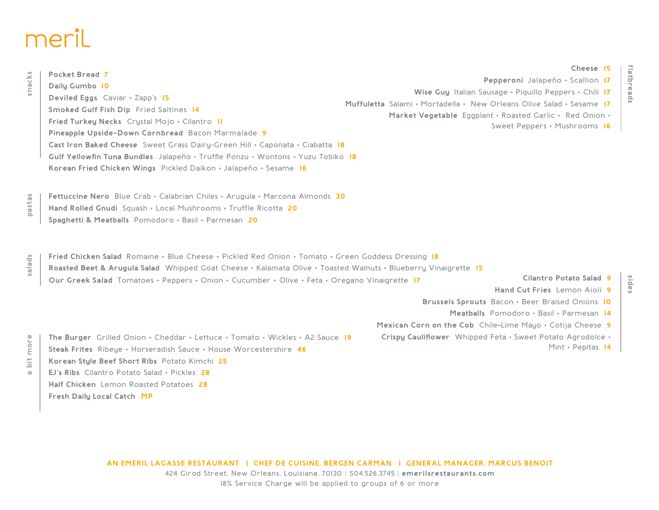# meril

**Fresh Daily Local Catch MP**

| snacks                            | <b>Pocket Bread 7</b>                                                                                          |                   |                                                        |                                                                      |  |
|-----------------------------------|----------------------------------------------------------------------------------------------------------------|-------------------|--------------------------------------------------------|----------------------------------------------------------------------|--|
|                                   | Daily Gumbo 10                                                                                                 |                   |                                                        | Pepperoni Jalapeño · Scallion 17                                     |  |
|                                   | Deviled Eggs Caviar . Zapp's 15                                                                                |                   | Wise Guy Italian Sausage · Piquillo Peppers · Chili 17 |                                                                      |  |
|                                   | Smoked Gulf Fish Dip Fried Saltines 14                                                                         |                   |                                                        | Muffuletta Salami • Mortadella • New Orleans Olive Salad • Sesame 17 |  |
|                                   | Fried Turkey Necks Crystal Mojo . Cilantro II                                                                  |                   |                                                        | Market Vegetable Eggplant · Roasted Garlic · Red Onion ·             |  |
|                                   | Pineapple Upside-Down Cornbread Bacon Marmalade 9                                                              |                   |                                                        | Sweet Peppers · Mushrooms 16                                         |  |
|                                   | Cast Iron Baked Cheese Sweet Grass Dairy-Green Hill . Caponata . Ciabatta 18                                   |                   |                                                        |                                                                      |  |
|                                   | Gulf Yellowfin Tuna Bundles Jalapeño • Truffle Ponzu • Wontons • Yuzu Tobiko 18                                |                   |                                                        |                                                                      |  |
|                                   |                                                                                                                |                   |                                                        |                                                                      |  |
|                                   | Korean Fried Chicken Wings Pickled Daikon · Jalapeño · Sesame 16                                               |                   |                                                        |                                                                      |  |
|                                   |                                                                                                                |                   |                                                        |                                                                      |  |
| pastas                            | Fettuccine Nero Blue Crab · Calabrian Chiles · Arugula · Marcona Almonds 30                                    |                   |                                                        |                                                                      |  |
|                                   | Hand Rolled Gnudi Squash · Local Mushrooms · Truffle Ricotta 20                                                |                   |                                                        |                                                                      |  |
|                                   | Spaghetti & Meatballs Pomodoro · Basil · Parmesan 20                                                           |                   |                                                        |                                                                      |  |
|                                   |                                                                                                                |                   |                                                        |                                                                      |  |
| ds<br>$\frac{1}{\sqrt{2}}$        | Fried Chicken Salad Romaine • Blue Cheese • Pickled Red Onion • Tomato • Green Goddess Dressing 18             |                   |                                                        |                                                                      |  |
|                                   | Roasted Beet & Arugula Salad Whipped Goat Cheese · Kalamata Olive · Toasted Walnuts · Blueberry Vinaigrette 15 |                   |                                                        |                                                                      |  |
|                                   | Our Greek Salad Tomatoes · Peppers · Onion · Cucumber · Olive · Feta · Oregano Vinaigrette 17                  |                   |                                                        | Cilantro Potato Salad 9                                              |  |
|                                   |                                                                                                                |                   |                                                        | Hand Cut Fries Lemon Aioli 9                                         |  |
|                                   |                                                                                                                |                   |                                                        | Brussels Sprouts Bacon · Beer Braised Onions 10                      |  |
|                                   | Meatballs Pomodoro · Basil · Parmesan 14                                                                       |                   |                                                        |                                                                      |  |
|                                   |                                                                                                                |                   |                                                        | Mexican Corn on the Cob Chile-Lime Mayo . Cotija Cheese 9            |  |
| more<br>$\frac{1}{2}$<br>$\sigma$ | The Burger Grilled Onion • Cheddar • Lettuce • Tomato • Wickles • A2 Sauce 19                                  |                   |                                                        | Crispy Cauliflower Whipped Feta . Sweet Potato Agrodolce .           |  |
|                                   | <b>Steak Frites</b> Ribeye · Horseradish Sauce · House Worcestershire 46                                       | Mint · Pepitas 14 |                                                        |                                                                      |  |
|                                   | Korean Style Beef Short Ribs Potato Kimchi 25                                                                  |                   |                                                        |                                                                      |  |
|                                   | <b>EJ's Ribs</b> Cilantro Potato Salad • Pickles $28$                                                          |                   |                                                        |                                                                      |  |
|                                   | Half Chicken Lemon Roasted Potatoes 28                                                                         |                   |                                                        |                                                                      |  |

**Cheese 15**